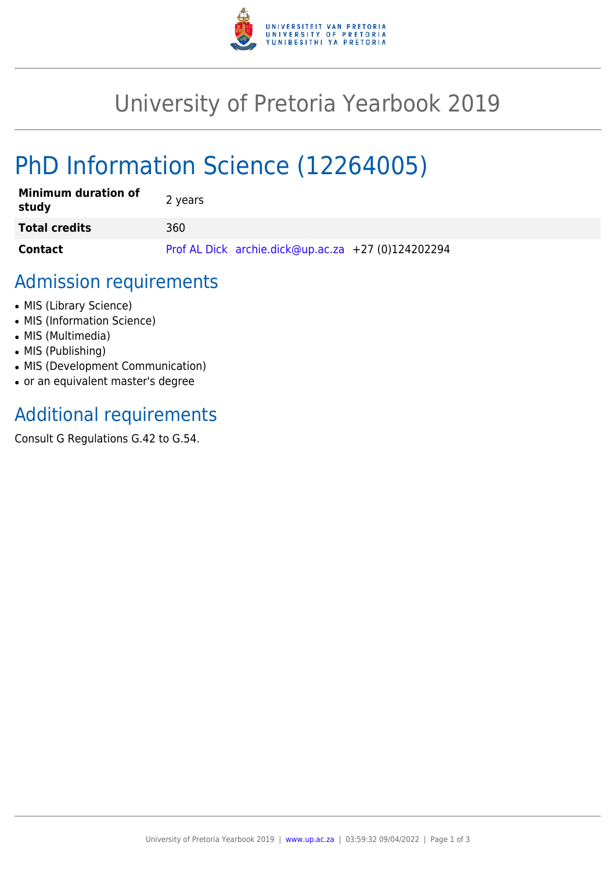

## University of Pretoria Yearbook 2019

# PhD Information Science (12264005)

| <b>Minimum duration of</b><br>study | 2 years                                            |
|-------------------------------------|----------------------------------------------------|
| <b>Total credits</b>                | 360                                                |
| Contact                             | Prof AL Dick archie.dick@up.ac.za +27 (0)124202294 |

## Admission requirements

- MIS (Library Science)
- MIS (Information Science)
- MIS (Multimedia)
- MIS (Publishing)
- MIS (Development Communication)
- or an equivalent master's degree

## Additional requirements

Consult G Regulations G.42 to G.54.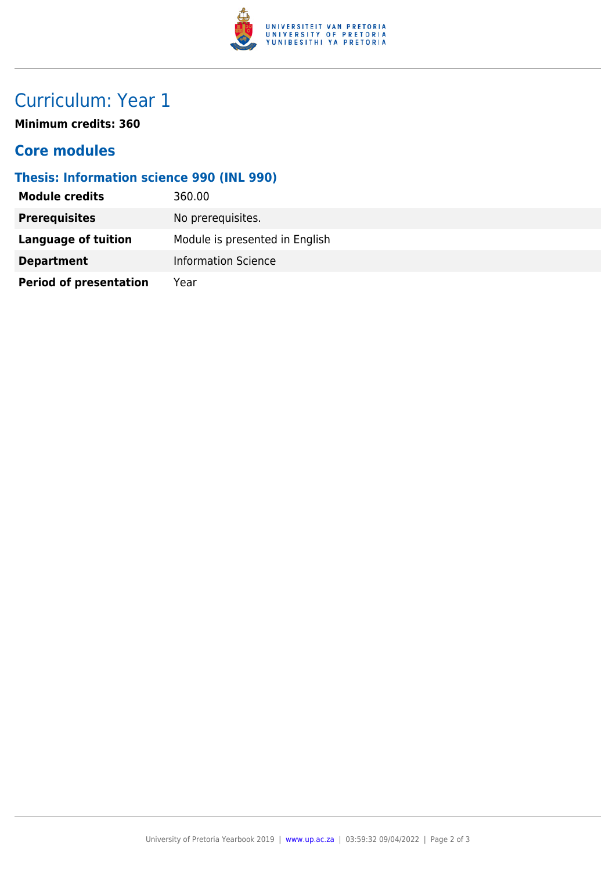

## Curriculum: Year 1

**Minimum credits: 360**

#### **Core modules**

#### **Thesis: Information science 990 (INL 990)**

| <b>Module credits</b>         | 360.00                         |  |
|-------------------------------|--------------------------------|--|
| <b>Prerequisites</b>          | No prerequisites.              |  |
| Language of tuition           | Module is presented in English |  |
| <b>Department</b>             | <b>Information Science</b>     |  |
| <b>Period of presentation</b> | Year                           |  |